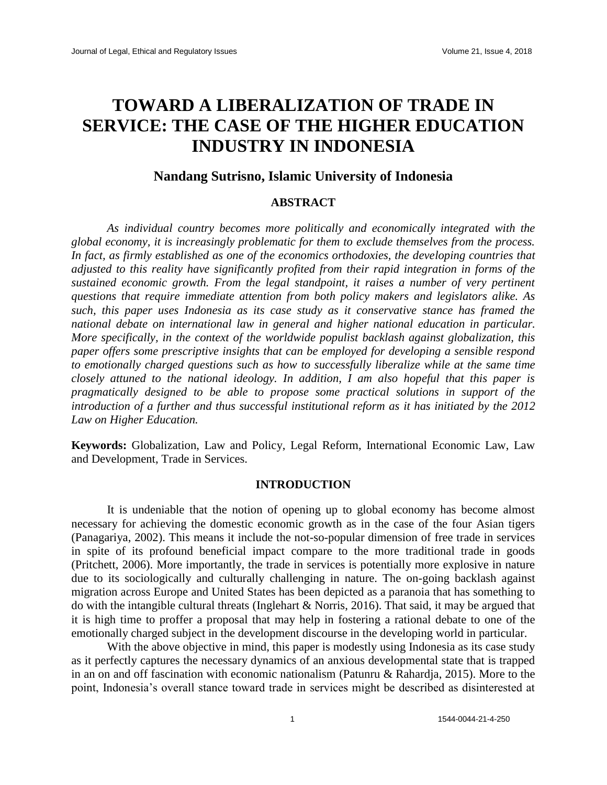# **TOWARD A LIBERALIZATION OF TRADE IN SERVICE: THE CASE OF THE HIGHER EDUCATION INDUSTRY IN INDONESIA**

## **Nandang Sutrisno, Islamic University of Indonesia**

## **ABSTRACT**

*As individual country becomes more politically and economically integrated with the global economy, it is increasingly problematic for them to exclude themselves from the process. In fact, as firmly established as one of the economics orthodoxies, the developing countries that adjusted to this reality have significantly profited from their rapid integration in forms of the sustained economic growth. From the legal standpoint, it raises a number of very pertinent questions that require immediate attention from both policy makers and legislators alike. As such, this paper uses Indonesia as its case study as it conservative stance has framed the national debate on international law in general and higher national education in particular. More specifically, in the context of the worldwide populist backlash against globalization, this paper offers some prescriptive insights that can be employed for developing a sensible respond to emotionally charged questions such as how to successfully liberalize while at the same time closely attuned to the national ideology. In addition, I am also hopeful that this paper is pragmatically designed to be able to propose some practical solutions in support of the introduction of a further and thus successful institutional reform as it has initiated by the 2012 Law on Higher Education.*

**Keywords:** Globalization, Law and Policy, Legal Reform, International Economic Law, Law and Development, Trade in Services.

#### **INTRODUCTION**

It is undeniable that the notion of opening up to global economy has become almost necessary for achieving the domestic economic growth as in the case of the four Asian tigers (Panagariya, 2002). This means it include the not-so-popular dimension of free trade in services in spite of its profound beneficial impact compare to the more traditional trade in goods (Pritchett, 2006). More importantly, the trade in services is potentially more explosive in nature due to its sociologically and culturally challenging in nature. The on-going backlash against migration across Europe and United States has been depicted as a paranoia that has something to do with the intangible cultural threats (Inglehart & Norris, 2016). That said, it may be argued that it is high time to proffer a proposal that may help in fostering a rational debate to one of the emotionally charged subject in the development discourse in the developing world in particular.

With the above objective in mind, this paper is modestly using Indonesia as its case study as it perfectly captures the necessary dynamics of an anxious developmental state that is trapped in an on and off fascination with economic nationalism (Patunru & Rahardja, 2015). More to the point, Indonesia's overall stance toward trade in services might be described as disinterested at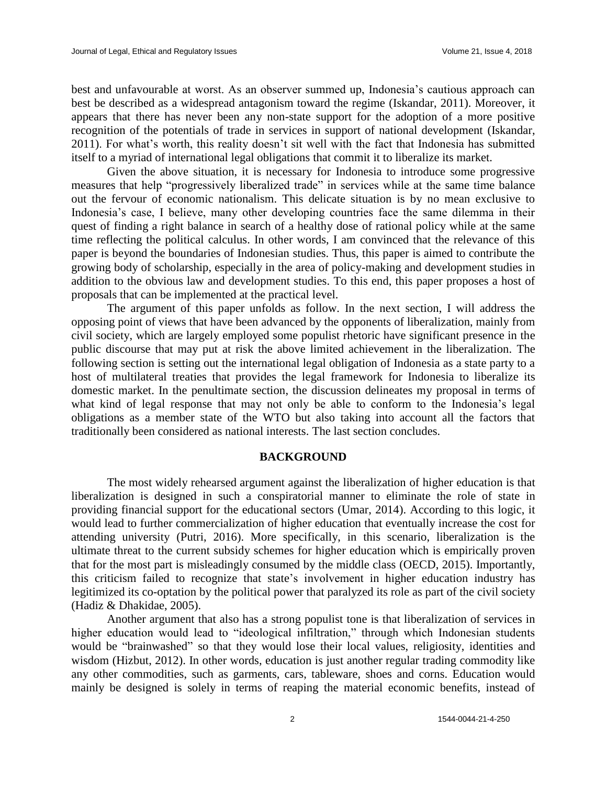best and unfavourable at worst. As an observer summed up, Indonesia's cautious approach can best be described as a widespread antagonism toward the regime (Iskandar, 2011). Moreover, it appears that there has never been any non-state support for the adoption of a more positive recognition of the potentials of trade in services in support of national development (Iskandar, 2011). For what's worth, this reality doesn't sit well with the fact that Indonesia has submitted itself to a myriad of international legal obligations that commit it to liberalize its market.

Given the above situation, it is necessary for Indonesia to introduce some progressive measures that help "progressively liberalized trade" in services while at the same time balance out the fervour of economic nationalism. This delicate situation is by no mean exclusive to Indonesia's case, I believe, many other developing countries face the same dilemma in their quest of finding a right balance in search of a healthy dose of rational policy while at the same time reflecting the political calculus. In other words, I am convinced that the relevance of this paper is beyond the boundaries of Indonesian studies. Thus, this paper is aimed to contribute the growing body of scholarship, especially in the area of policy-making and development studies in addition to the obvious law and development studies. To this end, this paper proposes a host of proposals that can be implemented at the practical level.

The argument of this paper unfolds as follow. In the next section, I will address the opposing point of views that have been advanced by the opponents of liberalization, mainly from civil society, which are largely employed some populist rhetoric have significant presence in the public discourse that may put at risk the above limited achievement in the liberalization. The following section is setting out the international legal obligation of Indonesia as a state party to a host of multilateral treaties that provides the legal framework for Indonesia to liberalize its domestic market. In the penultimate section, the discussion delineates my proposal in terms of what kind of legal response that may not only be able to conform to the Indonesia's legal obligations as a member state of the WTO but also taking into account all the factors that traditionally been considered as national interests. The last section concludes.

#### **BACKGROUND**

The most widely rehearsed argument against the liberalization of higher education is that liberalization is designed in such a conspiratorial manner to eliminate the role of state in providing financial support for the educational sectors (Umar, 2014). According to this logic, it would lead to further commercialization of higher education that eventually increase the cost for attending university (Putri, 2016). More specifically, in this scenario, liberalization is the ultimate threat to the current subsidy schemes for higher education which is empirically proven that for the most part is misleadingly consumed by the middle class (OECD, 2015). Importantly, this criticism failed to recognize that state's involvement in higher education industry has legitimized its co-optation by the political power that paralyzed its role as part of the civil society (Hadiz & Dhakidae, 2005).

Another argument that also has a strong populist tone is that liberalization of services in higher education would lead to "ideological infiltration," through which Indonesian students would be "brainwashed" so that they would lose their local values, religiosity, identities and wisdom (Hizbut, 2012). In other words, education is just another regular trading commodity like any other commodities, such as garments, cars, tableware, shoes and corns. Education would mainly be designed is solely in terms of reaping the material economic benefits, instead of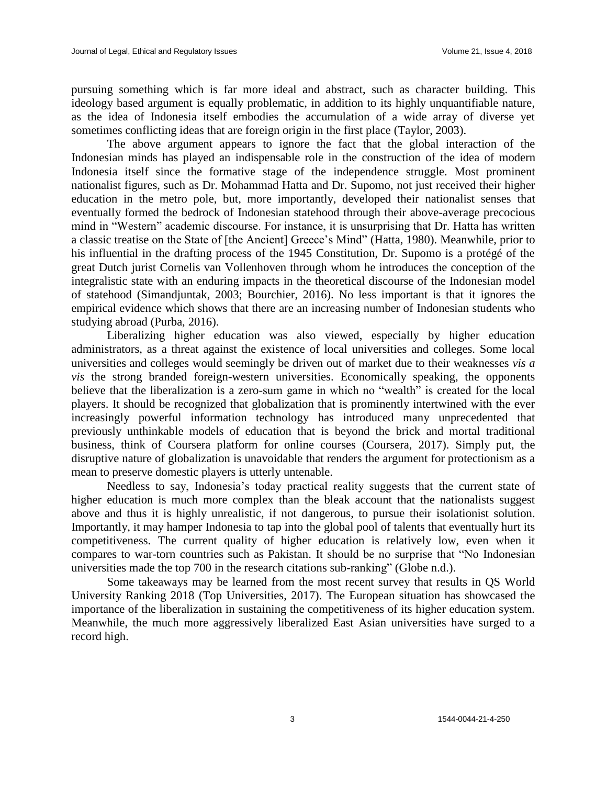pursuing something which is far more ideal and abstract, such as character building. This ideology based argument is equally problematic, in addition to its highly unquantifiable nature, as the idea of Indonesia itself embodies the accumulation of a wide array of diverse yet sometimes conflicting ideas that are foreign origin in the first place (Taylor, 2003).

The above argument appears to ignore the fact that the global interaction of the Indonesian minds has played an indispensable role in the construction of the idea of modern Indonesia itself since the formative stage of the independence struggle. Most prominent nationalist figures, such as Dr. Mohammad Hatta and Dr. Supomo, not just received their higher education in the metro pole, but, more importantly, developed their nationalist senses that eventually formed the bedrock of Indonesian statehood through their above-average precocious mind in "Western" academic discourse. For instance, it is unsurprising that Dr. Hatta has written a classic treatise on the State of [the Ancient] Greece's Mind" (Hatta, 1980). Meanwhile, prior to his influential in the drafting process of the 1945 Constitution, Dr. Supomo is a protégé of the great Dutch jurist Cornelis van Vollenhoven through whom he introduces the conception of the integralistic state with an enduring impacts in the theoretical discourse of the Indonesian model of statehood (Simandjuntak, 2003; Bourchier, 2016). No less important is that it ignores the empirical evidence which shows that there are an increasing number of Indonesian students who studying abroad (Purba, 2016).

Liberalizing higher education was also viewed, especially by higher education administrators, as a threat against the existence of local universities and colleges. Some local universities and colleges would seemingly be driven out of market due to their weaknesses *vis a vis* the strong branded foreign-western universities. Economically speaking, the opponents believe that the liberalization is a zero-sum game in which no "wealth" is created for the local players. It should be recognized that globalization that is prominently intertwined with the ever increasingly powerful information technology has introduced many unprecedented that previously unthinkable models of education that is beyond the brick and mortal traditional business, think of Coursera platform for online courses (Coursera, 2017). Simply put, the disruptive nature of globalization is unavoidable that renders the argument for protectionism as a mean to preserve domestic players is utterly untenable.

Needless to say, Indonesia's today practical reality suggests that the current state of higher education is much more complex than the bleak account that the nationalists suggest above and thus it is highly unrealistic, if not dangerous, to pursue their isolationist solution. Importantly, it may hamper Indonesia to tap into the global pool of talents that eventually hurt its competitiveness. The current quality of higher education is relatively low, even when it compares to war-torn countries such as Pakistan. It should be no surprise that "No Indonesian universities made the top 700 in the research citations sub-ranking" (Globe n.d.).

Some takeaways may be learned from the most recent survey that results in QS World University Ranking 2018 (Top Universities, 2017). The European situation has showcased the importance of the liberalization in sustaining the competitiveness of its higher education system. Meanwhile, the much more aggressively liberalized East Asian universities have surged to a record high.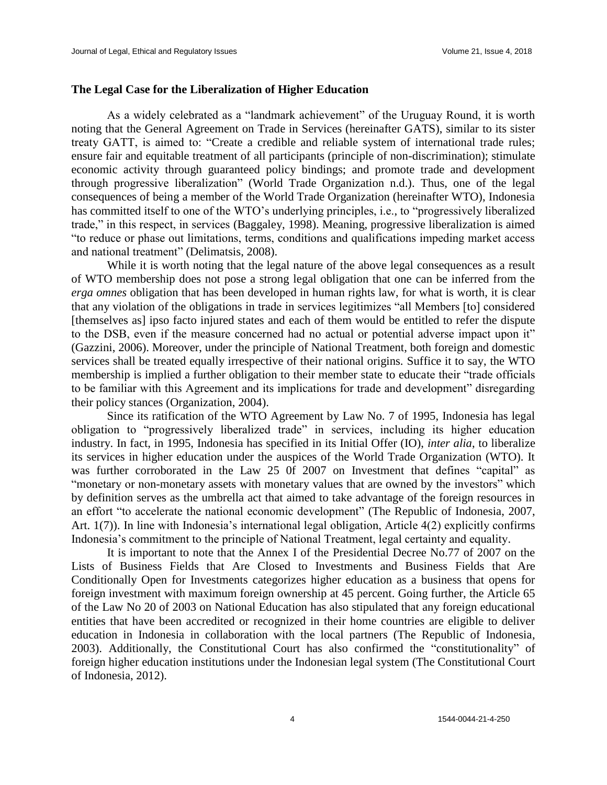#### **The Legal Case for the Liberalization of Higher Education**

As a widely celebrated as a "landmark achievement" of the Uruguay Round, it is worth noting that the General Agreement on Trade in Services (hereinafter GATS), similar to its sister treaty GATT, is aimed to: "Create a credible and reliable system of international trade rules; ensure fair and equitable treatment of all participants (principle of non-discrimination); stimulate economic activity through guaranteed policy bindings; and promote trade and development through progressive liberalization" (World Trade Organization n.d.). Thus, one of the legal consequences of being a member of the World Trade Organization (hereinafter WTO), Indonesia has committed itself to one of the WTO's underlying principles, i.e., to "progressively liberalized trade," in this respect, in services (Baggaley, 1998). Meaning, progressive liberalization is aimed "to reduce or phase out limitations, terms, conditions and qualifications impeding market access and national treatment" (Delimatsis, 2008).

While it is worth noting that the legal nature of the above legal consequences as a result of WTO membership does not pose a strong legal obligation that one can be inferred from the *erga omnes* obligation that has been developed in human rights law, for what is worth, it is clear that any violation of the obligations in trade in services legitimizes "all Members [to] considered [themselves as] ipso facto injured states and each of them would be entitled to refer the dispute to the DSB, even if the measure concerned had no actual or potential adverse impact upon it" (Gazzini, 2006). Moreover, under the principle of National Treatment, both foreign and domestic services shall be treated equally irrespective of their national origins. Suffice it to say, the WTO membership is implied a further obligation to their member state to educate their "trade officials to be familiar with this Agreement and its implications for trade and development" disregarding their policy stances (Organization, 2004).

Since its ratification of the WTO Agreement by Law No. 7 of 1995, Indonesia has legal obligation to "progressively liberalized trade" in services, including its higher education industry. In fact, in 1995, Indonesia has specified in its Initial Offer (IO), *inter alia*, to liberalize its services in higher education under the auspices of the World Trade Organization (WTO). It was further corroborated in the Law 25 0f 2007 on Investment that defines "capital" as "monetary or non-monetary assets with monetary values that are owned by the investors" which by definition serves as the umbrella act that aimed to take advantage of the foreign resources in an effort "to accelerate the national economic development" (The Republic of Indonesia, 2007, Art. 1(7)). In line with Indonesia's international legal obligation, Article 4(2) explicitly confirms Indonesia's commitment to the principle of National Treatment, legal certainty and equality.

It is important to note that the Annex I of the Presidential Decree No.77 of 2007 on the Lists of Business Fields that Are Closed to Investments and Business Fields that Are Conditionally Open for Investments categorizes higher education as a business that opens for foreign investment with maximum foreign ownership at 45 percent. Going further, the Article 65 of the Law No 20 of 2003 on National Education has also stipulated that any foreign educational entities that have been accredited or recognized in their home countries are eligible to deliver education in Indonesia in collaboration with the local partners (The Republic of Indonesia, 2003). Additionally, the Constitutional Court has also confirmed the "constitutionality" of foreign higher education institutions under the Indonesian legal system (The Constitutional Court of Indonesia, 2012).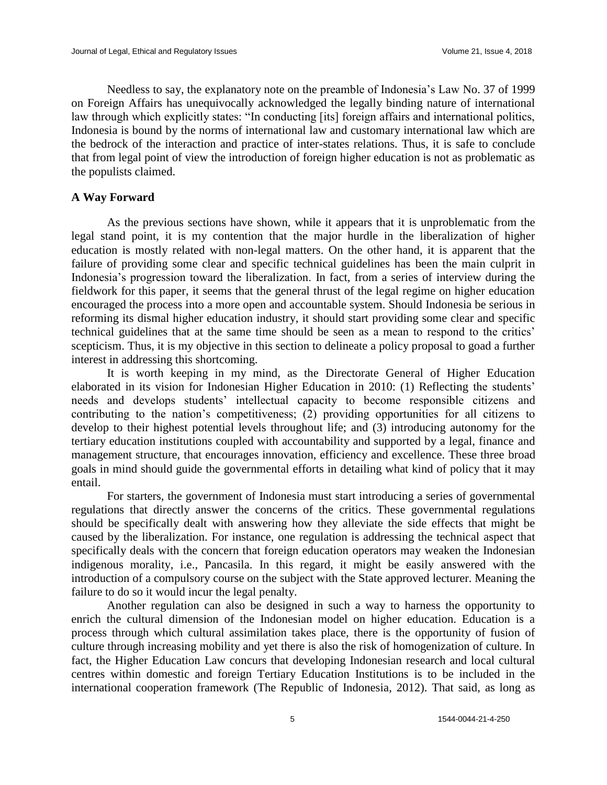Needless to say, the explanatory note on the preamble of Indonesia's Law No. 37 of 1999 on Foreign Affairs has unequivocally acknowledged the legally binding nature of international law through which explicitly states: "In conducting [its] foreign affairs and international politics, Indonesia is bound by the norms of international law and customary international law which are the bedrock of the interaction and practice of inter-states relations. Thus, it is safe to conclude that from legal point of view the introduction of foreign higher education is not as problematic as the populists claimed.

### **A Way Forward**

As the previous sections have shown, while it appears that it is unproblematic from the legal stand point, it is my contention that the major hurdle in the liberalization of higher education is mostly related with non-legal matters. On the other hand, it is apparent that the failure of providing some clear and specific technical guidelines has been the main culprit in Indonesia's progression toward the liberalization. In fact, from a series of interview during the fieldwork for this paper, it seems that the general thrust of the legal regime on higher education encouraged the process into a more open and accountable system. Should Indonesia be serious in reforming its dismal higher education industry, it should start providing some clear and specific technical guidelines that at the same time should be seen as a mean to respond to the critics' scepticism. Thus, it is my objective in this section to delineate a policy proposal to goad a further interest in addressing this shortcoming.

It is worth keeping in my mind, as the Directorate General of Higher Education elaborated in its vision for Indonesian Higher Education in 2010: (1) Reflecting the students' needs and develops students' intellectual capacity to become responsible citizens and contributing to the nation's competitiveness; (2) providing opportunities for all citizens to develop to their highest potential levels throughout life; and (3) introducing autonomy for the tertiary education institutions coupled with accountability and supported by a legal, finance and management structure, that encourages innovation, efficiency and excellence. These three broad goals in mind should guide the governmental efforts in detailing what kind of policy that it may entail.

For starters, the government of Indonesia must start introducing a series of governmental regulations that directly answer the concerns of the critics. These governmental regulations should be specifically dealt with answering how they alleviate the side effects that might be caused by the liberalization. For instance, one regulation is addressing the technical aspect that specifically deals with the concern that foreign education operators may weaken the Indonesian indigenous morality, i.e., Pancasila. In this regard, it might be easily answered with the introduction of a compulsory course on the subject with the State approved lecturer. Meaning the failure to do so it would incur the legal penalty.

Another regulation can also be designed in such a way to harness the opportunity to enrich the cultural dimension of the Indonesian model on higher education. Education is a process through which cultural assimilation takes place, there is the opportunity of fusion of culture through increasing mobility and yet there is also the risk of homogenization of culture. In fact, the Higher Education Law concurs that developing Indonesian research and local cultural centres within domestic and foreign Tertiary Education Institutions is to be included in the international cooperation framework (The Republic of Indonesia, 2012). That said, as long as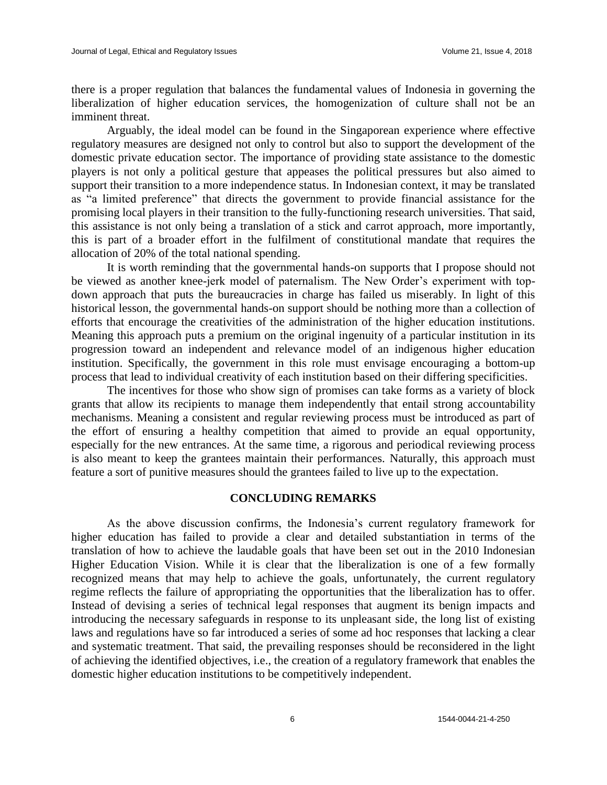there is a proper regulation that balances the fundamental values of Indonesia in governing the liberalization of higher education services, the homogenization of culture shall not be an imminent threat.

Arguably, the ideal model can be found in the Singaporean experience where effective regulatory measures are designed not only to control but also to support the development of the domestic private education sector. The importance of providing state assistance to the domestic players is not only a political gesture that appeases the political pressures but also aimed to support their transition to a more independence status. In Indonesian context, it may be translated as "a limited preference" that directs the government to provide financial assistance for the promising local players in their transition to the fully-functioning research universities. That said, this assistance is not only being a translation of a stick and carrot approach, more importantly, this is part of a broader effort in the fulfilment of constitutional mandate that requires the allocation of 20% of the total national spending.

It is worth reminding that the governmental hands-on supports that I propose should not be viewed as another knee-jerk model of paternalism. The New Order's experiment with topdown approach that puts the bureaucracies in charge has failed us miserably. In light of this historical lesson, the governmental hands-on support should be nothing more than a collection of efforts that encourage the creativities of the administration of the higher education institutions. Meaning this approach puts a premium on the original ingenuity of a particular institution in its progression toward an independent and relevance model of an indigenous higher education institution. Specifically, the government in this role must envisage encouraging a bottom-up process that lead to individual creativity of each institution based on their differing specificities.

The incentives for those who show sign of promises can take forms as a variety of block grants that allow its recipients to manage them independently that entail strong accountability mechanisms. Meaning a consistent and regular reviewing process must be introduced as part of the effort of ensuring a healthy competition that aimed to provide an equal opportunity, especially for the new entrances. At the same time, a rigorous and periodical reviewing process is also meant to keep the grantees maintain their performances. Naturally, this approach must feature a sort of punitive measures should the grantees failed to live up to the expectation.

## **CONCLUDING REMARKS**

As the above discussion confirms, the Indonesia's current regulatory framework for higher education has failed to provide a clear and detailed substantiation in terms of the translation of how to achieve the laudable goals that have been set out in the 2010 Indonesian Higher Education Vision. While it is clear that the liberalization is one of a few formally recognized means that may help to achieve the goals, unfortunately, the current regulatory regime reflects the failure of appropriating the opportunities that the liberalization has to offer. Instead of devising a series of technical legal responses that augment its benign impacts and introducing the necessary safeguards in response to its unpleasant side, the long list of existing laws and regulations have so far introduced a series of some ad hoc responses that lacking a clear and systematic treatment. That said, the prevailing responses should be reconsidered in the light of achieving the identified objectives, i.e., the creation of a regulatory framework that enables the domestic higher education institutions to be competitively independent.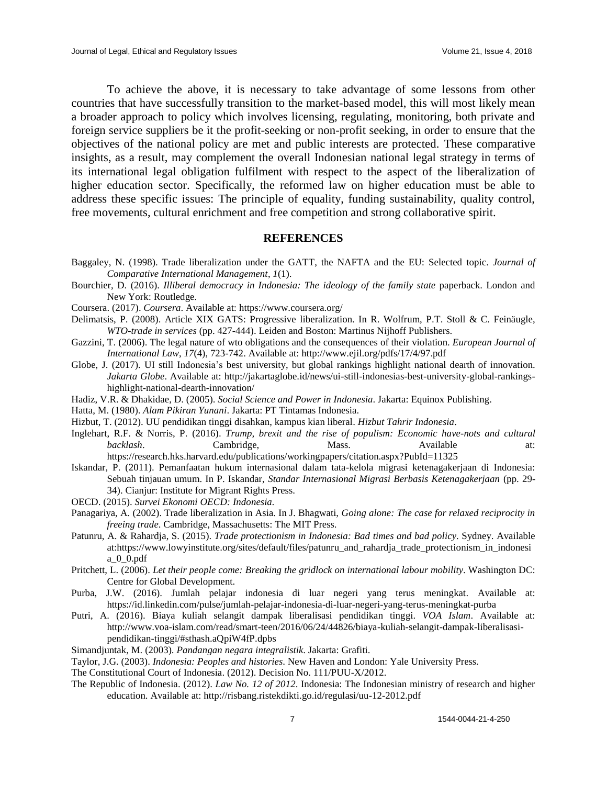To achieve the above, it is necessary to take advantage of some lessons from other countries that have successfully transition to the market-based model, this will most likely mean a broader approach to policy which involves licensing, regulating, monitoring, both private and foreign service suppliers be it the profit-seeking or non-profit seeking, in order to ensure that the objectives of the national policy are met and public interests are protected. These comparative insights, as a result, may complement the overall Indonesian national legal strategy in terms of its international legal obligation fulfilment with respect to the aspect of the liberalization of higher education sector. Specifically, the reformed law on higher education must be able to address these specific issues: The principle of equality, funding sustainability, quality control, free movements, cultural enrichment and free competition and strong collaborative spirit.

#### **REFERENCES**

- Baggaley, N. (1998). Trade liberalization under the GATT, the NAFTA and the EU: Selected topic. *Journal of Comparative International Management*, *1*(1).
- Bourchier, D. (2016). *Illiberal democracy in Indonesia: The ideology of the family state* paperback. London and New York: Routledge.
- Coursera. (2017). *Coursera*. Available at: https://www.coursera.org/
- Delimatsis, P. (2008). Article XIX GATS: Progressive liberalization. In R. Wolfrum, P.T. Stoll & C. Feinäugle, *WTO-trade in services* (pp. 427-444). Leiden and Boston: Martinus Nijhoff Publishers.
- Gazzini, T. (2006). The legal nature of wto obligations and the consequences of their violation. *European Journal of International Law*, *17*(4), 723-742. Available at: http://www.ejil.org/pdfs/17/4/97.pdf
- Globe, J. (2017). UI still Indonesia's best university, but global rankings highlight national dearth of innovation. *Jakarta Globe*. Available at: http://jakartaglobe.id/news/ui-still-indonesias-best-university-global-rankingshighlight-national-dearth-innovation/
- Hadiz, V.R. & Dhakidae, D. (2005). *Social Science and Power in Indonesia*. Jakarta: Equinox Publishing.
- Hatta, M. (1980). *Alam Pikiran Yunani*. Jakarta: PT Tintamas Indonesia.
- Hizbut, T. (2012). UU pendidikan tinggi disahkan, kampus kian liberal. *Hizbut Tahrir Indonesia*.
- Inglehart, R.F. & Norris, P. (2016). *Trump, brexit and the rise of populism: Economic have-nots and cultural backlash*. Cambridge, Mass. Available at: https://research.hks.harvard.edu/publications/workingpapers/citation.aspx?PubId=11325
- Iskandar, P. (2011). Pemanfaatan hukum internasional dalam tata-kelola migrasi ketenagakerjaan di Indonesia: Sebuah tinjauan umum. In P. Iskandar, *Standar Internasional Migrasi Berbasis Ketenagakerjaan* (pp. 29- 34). Cianjur: Institute for Migrant Rights Press.
- OECD. (2015). *Survei Ekonomi OECD: Indonesia.*
- Panagariya, A. (2002). Trade liberalization in Asia. In J. Bhagwati, *Going alone: The case for relaxed reciprocity in freeing trade*. Cambridge, Massachusetts: The MIT Press.
- Patunru, A. & Rahardja, S. (2015). *Trade protectionism in Indonesia: Bad times and bad policy*. Sydney. Available at:https://www.lowyinstitute.org/sites/default/files/patunru\_and\_rahardja\_trade\_protectionism\_in\_indonesi a\_0\_0.pdf
- Pritchett, L. (2006). *Let their people come: Breaking the gridlock on international labour mobility*. Washington DC: Centre for Global Development.
- Purba, J.W. (2016). Jumlah pelajar indonesia di luar negeri yang terus meningkat. Available at: https://id.linkedin.com/pulse/jumlah-pelajar-indonesia-di-luar-negeri-yang-terus-meningkat-purba
- Putri, A. (2016). Biaya kuliah selangit dampak liberalisasi pendidikan tinggi. *VOA Islam*. Available at: http://www.voa-islam.com/read/smart-teen/2016/06/24/44826/biaya-kuliah-selangit-dampak-liberalisasipendidikan-tinggi/#sthash.aQpiW4fP.dpbs
- Simandjuntak, M. (2003). *Pandangan negara integralistik*. Jakarta: Grafiti.

Taylor, J.G. (2003). *Indonesia: Peoples and histories*. New Haven and London: Yale University Press.

- The Constitutional Court of Indonesia. (2012). Decision No. 111/PUU-X/2012.
- The Republic of Indonesia. (2012). *Law No. 12 of 2012*. Indonesia: The Indonesian ministry of research and higher education. Available at: http://risbang.ristekdikti.go.id/regulasi/uu-12-2012.pdf